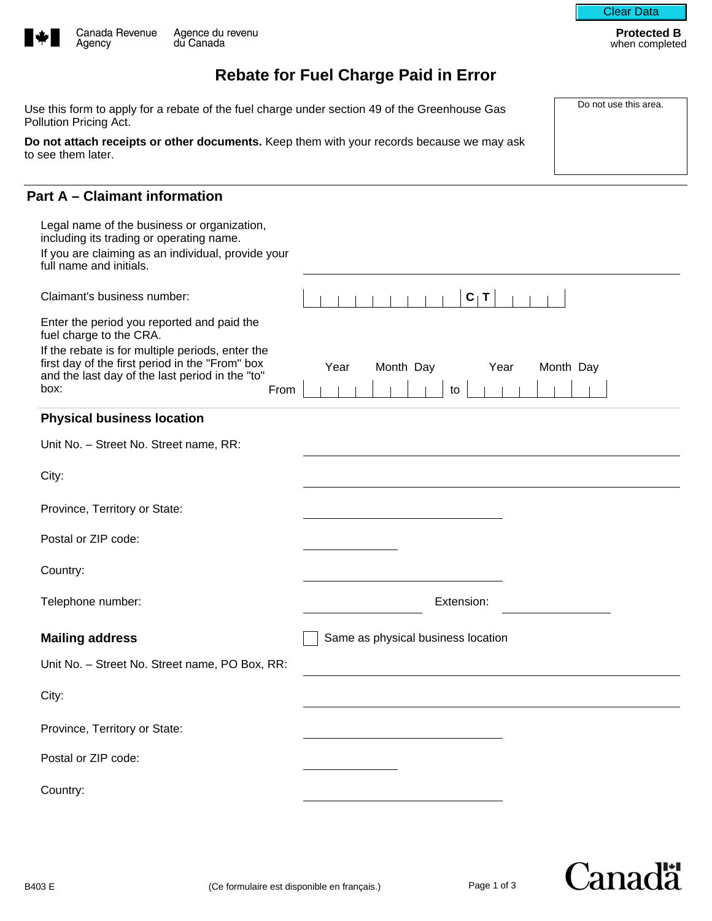

Agency



**Protected B** when completed

# **Rebate for Fuel Charge Paid in Error**

Use this form to apply for a rebate of the fuel charge under section 49 of the Greenhouse Gas Do not use this area. Pollution Pricing Act.

**Do not attach receipts or other documents.** Keep them with your records because we may ask to see them later.

## **Part A – Claimant information**

| Legal name of the business or organization,<br>including its trading or operating name.                                                                                |                                              |
|------------------------------------------------------------------------------------------------------------------------------------------------------------------------|----------------------------------------------|
| If you are claiming as an individual, provide your<br>full name and initials.                                                                                          |                                              |
| Claimant's business number:                                                                                                                                            | $C_1$ T                                      |
| Enter the period you reported and paid the<br>fuel charge to the CRA.                                                                                                  |                                              |
| If the rebate is for multiple periods, enter the<br>first day of the first period in the "From" box<br>and the last day of the last period in the "to"<br>box:<br>From | Month Day<br>Month Day<br>Year<br>Year<br>to |
| <b>Physical business location</b>                                                                                                                                      |                                              |
| Unit No. - Street No. Street name, RR:                                                                                                                                 |                                              |
| City:                                                                                                                                                                  |                                              |
| Province, Territory or State:                                                                                                                                          | $\vert \mathbf{v} \vert$                     |
| Postal or ZIP code:                                                                                                                                                    |                                              |
| Country:                                                                                                                                                               |                                              |
| Telephone number:                                                                                                                                                      | Extension:                                   |
| <b>Mailing address</b>                                                                                                                                                 | Same as physical business location           |
| Unit No. - Street No. Street name, PO Box, RR:                                                                                                                         |                                              |
| City:                                                                                                                                                                  |                                              |
| Province, Territory or State:                                                                                                                                          | $\vert \mathbf{v} \vert$                     |
| Postal or ZIP code:                                                                                                                                                    |                                              |
| Country:                                                                                                                                                               |                                              |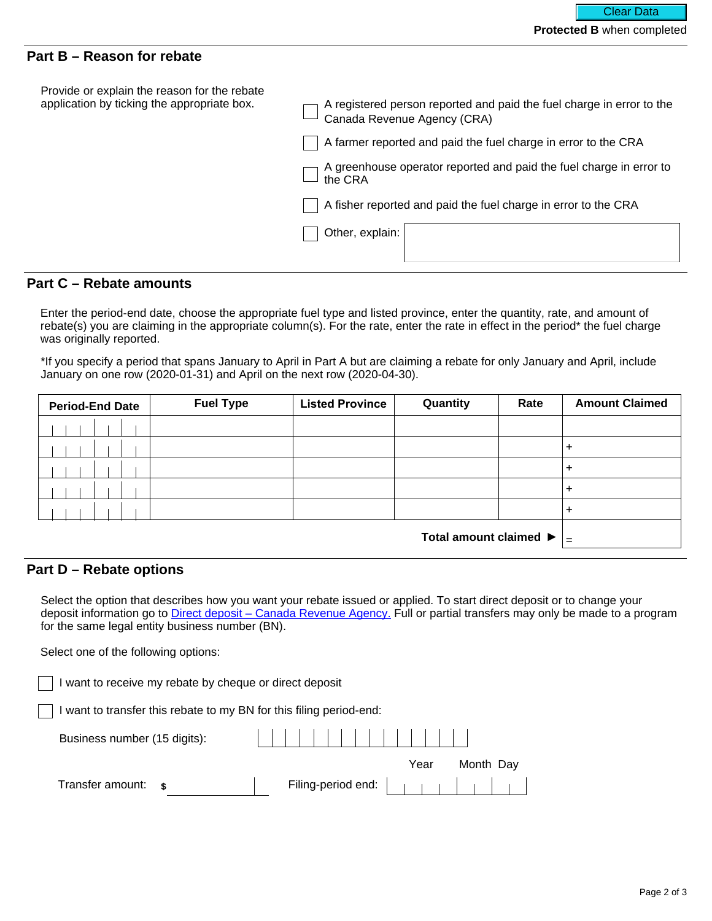### **Part B – Reason for rebate**

| Provide or explain the reason for the rebate<br>application by ticking the appropriate box. | A registered person reported and paid the fuel charge in error to the Canada Revenue Agency (CRA) |
|---------------------------------------------------------------------------------------------|---------------------------------------------------------------------------------------------------|
|                                                                                             | A farmer reported and paid the fuel charge in error to the CRA                                    |
|                                                                                             | A greenhouse operator reported and paid the fuel charge in error to<br>the CRA                    |
|                                                                                             | A fisher reported and paid the fuel charge in error to the CRA                                    |
|                                                                                             | Other, explain:                                                                                   |
|                                                                                             |                                                                                                   |

# **Part C – Rebate amounts**

Enter the period-end date, choose the appropriate fuel type and listed province, enter the quantity, rate, and amount of rebate(s) you are claiming in the appropriate column(s). For the rate, enter the rate in effect in the period\* the fuel charge was originally reported.

\*If you specify a period that spans January to April in Part A but are claiming a rebate for only January and April, include January on one row (2020-01-31) and April on the next row (2020-04-30).

| <b>Period-End Date</b> | <b>Fuel Type</b> | <b>Listed Province</b>   | Quantity | Rate | <b>Amount Claimed</b> |
|------------------------|------------------|--------------------------|----------|------|-----------------------|
|                        |                  | $\blacktriangledown$     |          |      |                       |
|                        |                  |                          |          |      | ÷                     |
|                        |                  | $\overline{\phantom{a}}$ |          |      | ÷                     |
|                        |                  |                          |          |      |                       |
|                        |                  | ▼                        |          |      |                       |
| Total amount claimed ▶ |                  |                          | l =      |      |                       |

#### **Part D – Rebate options**

Select the option that describes how you want your rebate issued or applied. To start direct deposit or to change your deposit information go to [Direct deposit – Canada Revenue Agency.](https://www.canada.ca/en/revenue-agency/services/about-canada-revenue-agency-cra/direct-deposit.html) Full or partial transfers may only be made to a program for the same legal entity business number (BN).

Select one of the following options:

| I want to receive my rebate by cheque or direct deposit             |      |           |
|---------------------------------------------------------------------|------|-----------|
| I want to transfer this rebate to my BN for this filing period-end: |      |           |
| Business number (15 digits):                                        |      |           |
|                                                                     | Year | Month Day |
| Transfer amount: \$                                                 |      |           |